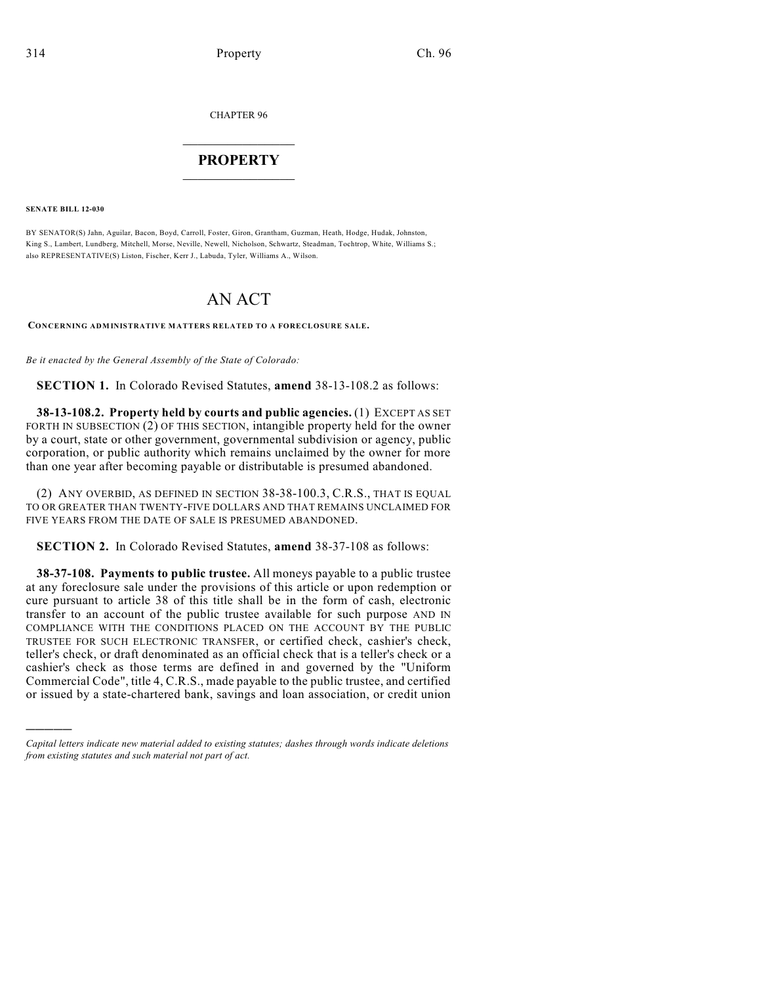CHAPTER 96

## $\overline{\phantom{a}}$  . The set of the set of the set of the set of the set of the set of the set of the set of the set of the set of the set of the set of the set of the set of the set of the set of the set of the set of the set o **PROPERTY**  $\_$   $\_$   $\_$   $\_$   $\_$   $\_$   $\_$   $\_$   $\_$

**SENATE BILL 12-030**

)))))

BY SENATOR(S) Jahn, Aguilar, Bacon, Boyd, Carroll, Foster, Giron, Grantham, Guzman, Heath, Hodge, Hudak, Johnston, King S., Lambert, Lundberg, Mitchell, Morse, Neville, Newell, Nicholson, Schwartz, Steadman, Tochtrop, White, Williams S.; also REPRESENTATIVE(S) Liston, Fischer, Kerr J., Labuda, Tyler, Williams A., Wilson.

# AN ACT

**CONCERNING ADMINISTRATIVE MATTERS RELATED TO A FORECLOSURE SALE.**

*Be it enacted by the General Assembly of the State of Colorado:*

**SECTION 1.** In Colorado Revised Statutes, **amend** 38-13-108.2 as follows:

**38-13-108.2. Property held by courts and public agencies.** (1) EXCEPT AS SET FORTH IN SUBSECTION (2) OF THIS SECTION, intangible property held for the owner by a court, state or other government, governmental subdivision or agency, public corporation, or public authority which remains unclaimed by the owner for more than one year after becoming payable or distributable is presumed abandoned.

(2) ANY OVERBID, AS DEFINED IN SECTION 38-38-100.3, C.R.S., THAT IS EQUAL TO OR GREATER THAN TWENTY-FIVE DOLLARS AND THAT REMAINS UNCLAIMED FOR FIVE YEARS FROM THE DATE OF SALE IS PRESUMED ABANDONED.

**SECTION 2.** In Colorado Revised Statutes, **amend** 38-37-108 as follows:

**38-37-108. Payments to public trustee.** All moneys payable to a public trustee at any foreclosure sale under the provisions of this article or upon redemption or cure pursuant to article 38 of this title shall be in the form of cash, electronic transfer to an account of the public trustee available for such purpose AND IN COMPLIANCE WITH THE CONDITIONS PLACED ON THE ACCOUNT BY THE PUBLIC TRUSTEE FOR SUCH ELECTRONIC TRANSFER, or certified check, cashier's check, teller's check, or draft denominated as an official check that is a teller's check or a cashier's check as those terms are defined in and governed by the "Uniform Commercial Code", title 4, C.R.S., made payable to the public trustee, and certified or issued by a state-chartered bank, savings and loan association, or credit union

*Capital letters indicate new material added to existing statutes; dashes through words indicate deletions from existing statutes and such material not part of act.*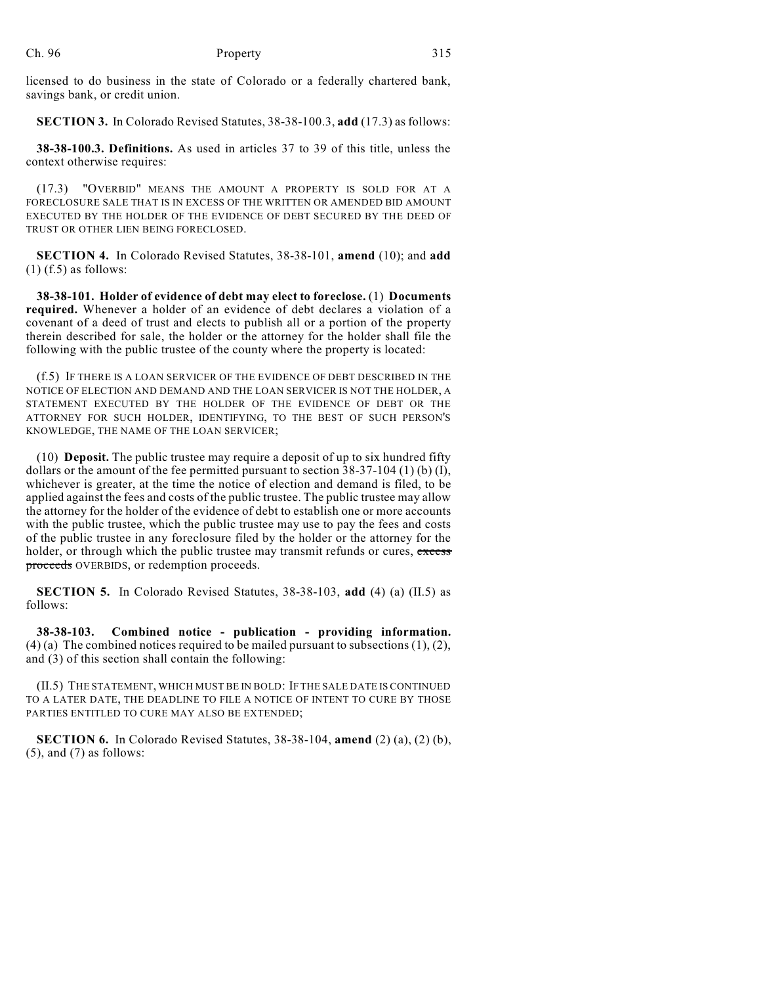licensed to do business in the state of Colorado or a federally chartered bank, savings bank, or credit union.

**SECTION 3.** In Colorado Revised Statutes, 38-38-100.3, **add** (17.3) as follows:

**38-38-100.3. Definitions.** As used in articles 37 to 39 of this title, unless the context otherwise requires:

(17.3) "OVERBID" MEANS THE AMOUNT A PROPERTY IS SOLD FOR AT A FORECLOSURE SALE THAT IS IN EXCESS OF THE WRITTEN OR AMENDED BID AMOUNT EXECUTED BY THE HOLDER OF THE EVIDENCE OF DEBT SECURED BY THE DEED OF TRUST OR OTHER LIEN BEING FORECLOSED.

**SECTION 4.** In Colorado Revised Statutes, 38-38-101, **amend** (10); and **add**  $(1)$  (f.5) as follows:

**38-38-101. Holder of evidence of debt may elect to foreclose.** (1) **Documents required.** Whenever a holder of an evidence of debt declares a violation of a covenant of a deed of trust and elects to publish all or a portion of the property therein described for sale, the holder or the attorney for the holder shall file the following with the public trustee of the county where the property is located:

(f.5) IF THERE IS A LOAN SERVICER OF THE EVIDENCE OF DEBT DESCRIBED IN THE NOTICE OF ELECTION AND DEMAND AND THE LOAN SERVICER IS NOT THE HOLDER, A STATEMENT EXECUTED BY THE HOLDER OF THE EVIDENCE OF DEBT OR THE ATTORNEY FOR SUCH HOLDER, IDENTIFYING, TO THE BEST OF SUCH PERSON'S KNOWLEDGE, THE NAME OF THE LOAN SERVICER;

(10) **Deposit.** The public trustee may require a deposit of up to six hundred fifty dollars or the amount of the fee permitted pursuant to section 38-37-104 (1) (b) (I), whichever is greater, at the time the notice of election and demand is filed, to be applied against the fees and costs of the public trustee. The public trustee may allow the attorney for the holder of the evidence of debt to establish one or more accounts with the public trustee, which the public trustee may use to pay the fees and costs of the public trustee in any foreclosure filed by the holder or the attorney for the holder, or through which the public trustee may transmit refunds or cures, excess proceeds OVERBIDS, or redemption proceeds.

**SECTION 5.** In Colorado Revised Statutes, 38-38-103, **add** (4) (a) (II.5) as follows:

**38-38-103. Combined notice - publication - providing information.**  $(4)$  (a) The combined notices required to be mailed pursuant to subsections  $(1)$ ,  $(2)$ , and (3) of this section shall contain the following:

(II.5) THE STATEMENT, WHICH MUST BE IN BOLD: IF THE SALE DATE IS CONTINUED TO A LATER DATE, THE DEADLINE TO FILE A NOTICE OF INTENT TO CURE BY THOSE PARTIES ENTITLED TO CURE MAY ALSO BE EXTENDED;

**SECTION 6.** In Colorado Revised Statutes, 38-38-104, **amend** (2) (a), (2) (b),  $(5)$ , and  $(7)$  as follows: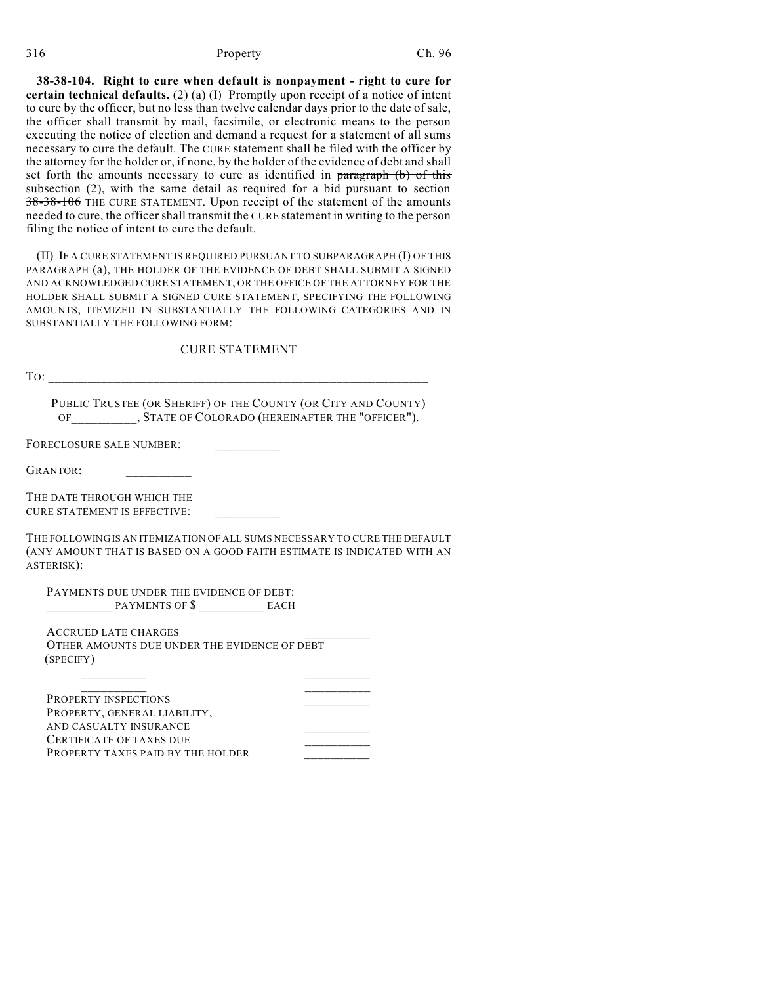#### 316 Property Ch. 96

**38-38-104. Right to cure when default is nonpayment - right to cure for certain technical defaults.** (2) (a) (I) Promptly upon receipt of a notice of intent to cure by the officer, but no less than twelve calendar days prior to the date of sale, the officer shall transmit by mail, facsimile, or electronic means to the person executing the notice of election and demand a request for a statement of all sums necessary to cure the default. The CURE statement shall be filed with the officer by the attorney for the holder or, if none, by the holder of the evidence of debt and shall set forth the amounts necessary to cure as identified in paragraph (b) of this subsection (2), with the same detail as required for a bid pursuant to section 38-38-106 THE CURE STATEMENT. Upon receipt of the statement of the amounts needed to cure, the officer shall transmit the CURE statement in writing to the person filing the notice of intent to cure the default.

(II) IF A CURE STATEMENT IS REQUIRED PURSUANT TO SUBPARAGRAPH (I) OF THIS PARAGRAPH (a), THE HOLDER OF THE EVIDENCE OF DEBT SHALL SUBMIT A SIGNED AND ACKNOWLEDGED CURE STATEMENT, OR THE OFFICE OF THE ATTORNEY FOR THE HOLDER SHALL SUBMIT A SIGNED CURE STATEMENT, SPECIFYING THE FOLLOWING AMOUNTS, ITEMIZED IN SUBSTANTIALLY THE FOLLOWING CATEGORIES AND IN SUBSTANTIALLY THE FOLLOWING FORM:

## CURE STATEMENT

| To:                                                                                                                                                                |  |
|--------------------------------------------------------------------------------------------------------------------------------------------------------------------|--|
| PUBLIC TRUSTEE (OR SHERIFF) OF THE COUNTY (OR CITY AND COUNTY)<br>OF , STATE OF COLORADO (HEREINAFTER THE "OFFICER").                                              |  |
| FORECLOSURE SALE NUMBER:                                                                                                                                           |  |
| GRANTOR:                                                                                                                                                           |  |
| THE DATE THROUGH WHICH THE<br><b>CURE STATEMENT IS EFFECTIVE:</b>                                                                                                  |  |
| THE FOLLOWING IS AN ITEMIZATION OF ALL SUMS NECESSARY TO CURE THE DEFAULT<br>(ANY AMOUNT THAT IS BASED ON A GOOD FAITH ESTIMATE IS INDICATED WITH AN<br>ASTERISK): |  |
| PAYMENTS DUE UNDER THE EVIDENCE OF DEBT:                                                                                                                           |  |
|                                                                                                                                                                    |  |
| <b>ACCRUED LATE CHARGES</b>                                                                                                                                        |  |
| OTHER AMOUNTS DUE UNDER THE EVIDENCE OF DEBT<br>(SPECIFY)                                                                                                          |  |
|                                                                                                                                                                    |  |
| <b>PROPERTY INSPECTIONS</b>                                                                                                                                        |  |
| PROPERTY, GENERAL LIABILITY,                                                                                                                                       |  |
| AND CASUALTY INSURANCE                                                                                                                                             |  |
| CERTIFICATE OF TAXES DUE                                                                                                                                           |  |
| PROPERTY TAXES PAID BY THE HOI DER                                                                                                                                 |  |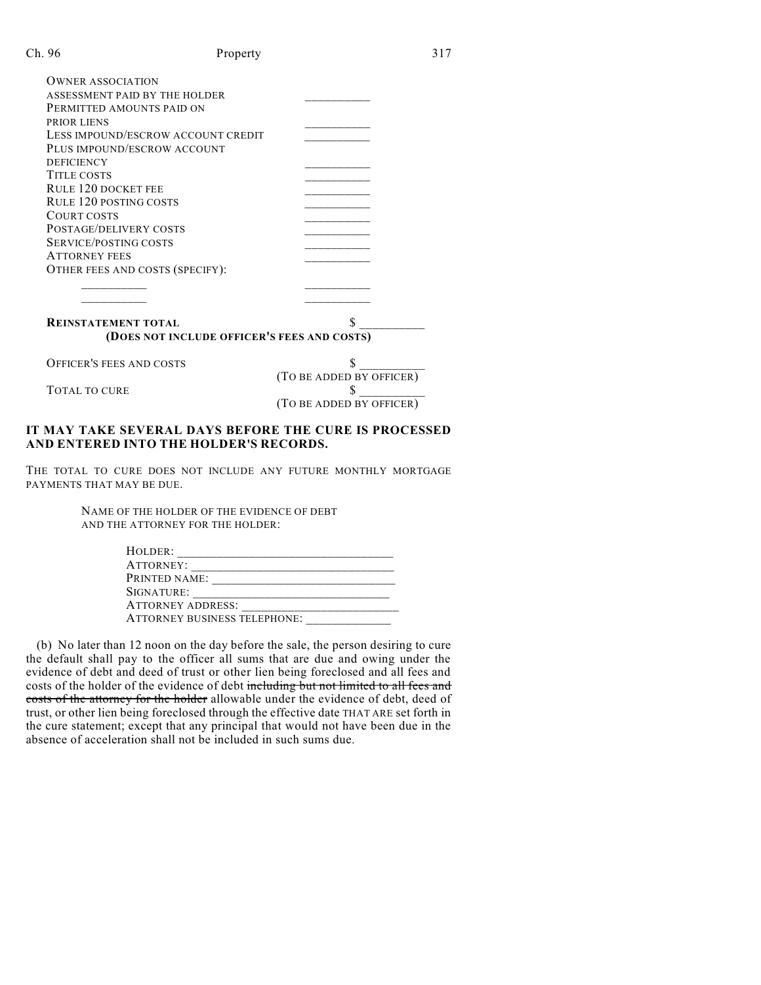| п. | U) |
|----|----|
| n  | n  |
|    |    |

| <b>OWNER ASSOCIATION</b>                    |                          |  |  |  |
|---------------------------------------------|--------------------------|--|--|--|
| ASSESSMENT PAID BY THE HOLDER               |                          |  |  |  |
| PERMITTED AMOUNTS PAID ON                   |                          |  |  |  |
| PRIOR LIENS                                 |                          |  |  |  |
| LESS IMPOUND/ESCROW ACCOUNT CREDIT          |                          |  |  |  |
| PLUS IMPOUND/ESCROW ACCOUNT                 |                          |  |  |  |
| <b>DEFICIENCY</b>                           |                          |  |  |  |
| <b>TITLE COSTS</b>                          |                          |  |  |  |
| <b>RULE 120 DOCKET FEE</b>                  |                          |  |  |  |
| <b>RULE 120 POSTING COSTS</b>               |                          |  |  |  |
| COURT COSTS                                 |                          |  |  |  |
| POSTAGE/DELIVERY COSTS                      |                          |  |  |  |
| SERVICE/POSTING COSTS                       |                          |  |  |  |
| <b>ATTORNEY FEES</b>                        |                          |  |  |  |
| OTHER FEES AND COSTS (SPECIFY):             |                          |  |  |  |
|                                             |                          |  |  |  |
|                                             |                          |  |  |  |
|                                             |                          |  |  |  |
| <b>REINSTATEMENT TOTAL</b>                  |                          |  |  |  |
| (DOES NOT INCLUDE OFFICER'S FEES AND COSTS) |                          |  |  |  |
| <b>OFFICER'S FEES AND COSTS</b>             |                          |  |  |  |
|                                             | (TO BE ADDED BY OFFICER) |  |  |  |
| TOTAL TO CURE                               | \$                       |  |  |  |

## **IT MAY TAKE SEVERAL DAYS BEFORE THE CURE IS PROCESSED AND ENTERED INTO THE HOLDER'S RECORDS.**

(TO BE ADDED BY OFFICER)

THE TOTAL TO CURE DOES NOT INCLUDE ANY FUTURE MONTHLY MORTGAGE PAYMENTS THAT MAY BE DUE.

> NAME OF THE HOLDER OF THE EVIDENCE OF DEBT AND THE ATTORNEY FOR THE HOLDER:

| Holder:                             |  |
|-------------------------------------|--|
| ATTORNEY:                           |  |
| PRINTED NAME:                       |  |
| SIGNATURE:                          |  |
| <b>ATTORNEY ADDRESS:</b>            |  |
| <b>ATTORNEY BUSINESS TELEPHONE:</b> |  |

(b) No later than 12 noon on the day before the sale, the person desiring to cure the default shall pay to the officer all sums that are due and owing under the evidence of debt and deed of trust or other lien being foreclosed and all fees and costs of the holder of the evidence of debt including but not limited to all fees and costs of the attorney for the holder allowable under the evidence of debt, deed of trust, or other lien being foreclosed through the effective date THAT ARE set forth in the cure statement; except that any principal that would not have been due in the absence of acceleration shall not be included in such sums due.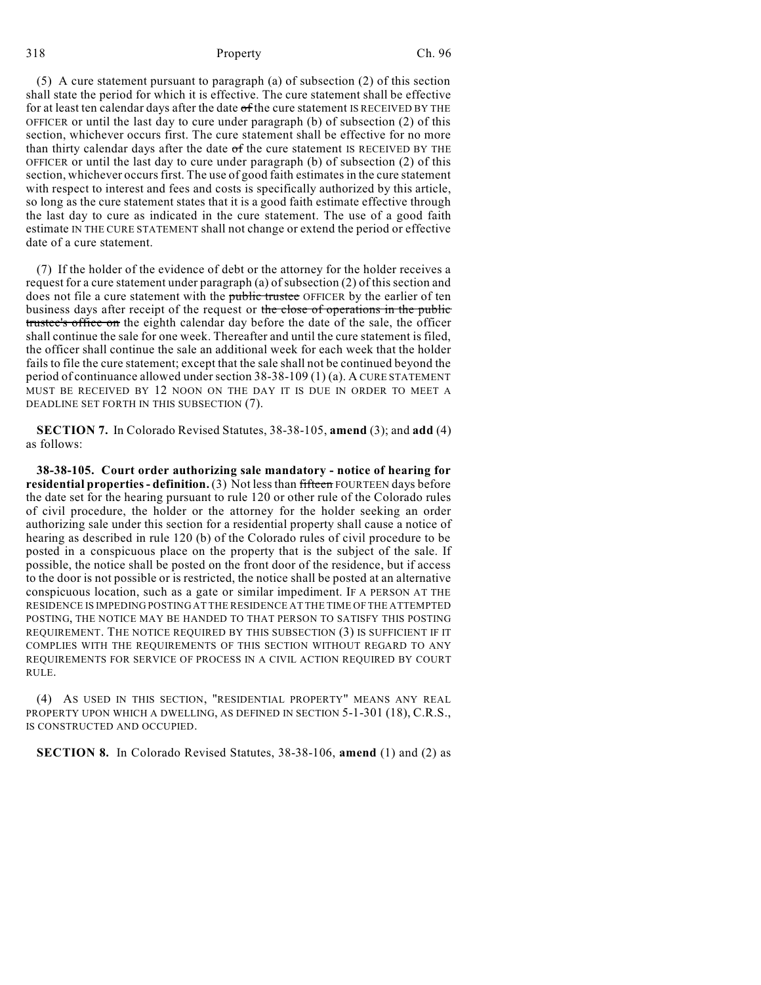#### 318 Property Ch. 96

(5) A cure statement pursuant to paragraph (a) of subsection (2) of this section shall state the period for which it is effective. The cure statement shall be effective for at least ten calendar days after the date of the cure statement IS RECEIVED BY THE OFFICER or until the last day to cure under paragraph (b) of subsection (2) of this section, whichever occurs first. The cure statement shall be effective for no more than thirty calendar days after the date  $of$  the cure statement IS RECEIVED BY THE OFFICER or until the last day to cure under paragraph (b) of subsection (2) of this section, whichever occursfirst. The use of good faith estimates in the cure statement with respect to interest and fees and costs is specifically authorized by this article, so long as the cure statement states that it is a good faith estimate effective through the last day to cure as indicated in the cure statement. The use of a good faith estimate IN THE CURE STATEMENT shall not change or extend the period or effective date of a cure statement.

(7) If the holder of the evidence of debt or the attorney for the holder receives a request for a cure statement under paragraph (a) of subsection (2) of this section and does not file a cure statement with the public trustee OFFICER by the earlier of ten business days after receipt of the request or the close of operations in the public trustee's office on the eighth calendar day before the date of the sale, the officer shall continue the sale for one week. Thereafter and until the cure statement is filed, the officer shall continue the sale an additional week for each week that the holder fails to file the cure statement; except that the sale shall not be continued beyond the period of continuance allowed under section 38-38-109 (1) (a). A CURE STATEMENT MUST BE RECEIVED BY 12 NOON ON THE DAY IT IS DUE IN ORDER TO MEET A DEADLINE SET FORTH IN THIS SUBSECTION (7).

**SECTION 7.** In Colorado Revised Statutes, 38-38-105, **amend** (3); and **add** (4) as follows:

**38-38-105. Court order authorizing sale mandatory - notice of hearing for residential properties- definition.** (3) Not lessthan fifteen FOURTEEN days before the date set for the hearing pursuant to rule 120 or other rule of the Colorado rules of civil procedure, the holder or the attorney for the holder seeking an order authorizing sale under this section for a residential property shall cause a notice of hearing as described in rule 120 (b) of the Colorado rules of civil procedure to be posted in a conspicuous place on the property that is the subject of the sale. If possible, the notice shall be posted on the front door of the residence, but if access to the door is not possible or is restricted, the notice shall be posted at an alternative conspicuous location, such as a gate or similar impediment. IF A PERSON AT THE RESIDENCE IS IMPEDING POSTING AT THE RESIDENCE AT THE TIME OF THE ATTEMPTED POSTING, THE NOTICE MAY BE HANDED TO THAT PERSON TO SATISFY THIS POSTING REQUIREMENT. THE NOTICE REQUIRED BY THIS SUBSECTION (3) IS SUFFICIENT IF IT COMPLIES WITH THE REQUIREMENTS OF THIS SECTION WITHOUT REGARD TO ANY REQUIREMENTS FOR SERVICE OF PROCESS IN A CIVIL ACTION REQUIRED BY COURT RULE.

(4) AS USED IN THIS SECTION, "RESIDENTIAL PROPERTY" MEANS ANY REAL PROPERTY UPON WHICH A DWELLING, AS DEFINED IN SECTION 5-1-301 (18), C.R.S., IS CONSTRUCTED AND OCCUPIED.

**SECTION 8.** In Colorado Revised Statutes, 38-38-106, **amend** (1) and (2) as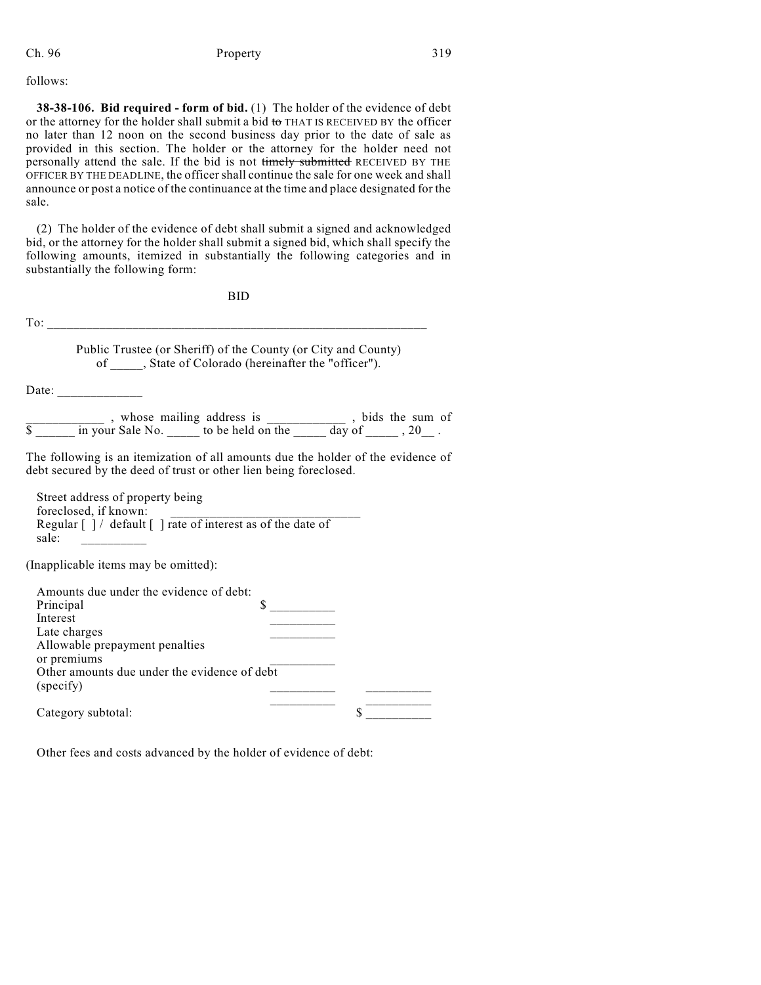Ch. 96 **Property Property** 319

follows:

**38-38-106. Bid required - form of bid.** (1) The holder of the evidence of debt or the attorney for the holder shall submit a bid to THAT IS RECEIVED BY the officer no later than 12 noon on the second business day prior to the date of sale as provided in this section. The holder or the attorney for the holder need not personally attend the sale. If the bid is not timely submitted RECEIVED BY THE OFFICER BY THE DEADLINE, the officer shall continue the sale for one week and shall announce or post a notice of the continuance at the time and place designated for the sale.

(2) The holder of the evidence of debt shall submit a signed and acknowledged bid, or the attorney for the holder shall submit a signed bid, which shall specify the following amounts, itemized in substantially the following categories and in substantially the following form:

BID

 $To:$ Public Trustee (or Sheriff) of the County (or City and County) of \_\_\_\_\_, State of Colorado (hereinafter the "officer"). Date:  $\frac{1}{\sqrt{1-\frac{1}{2}}\cdot\frac{1}{\sqrt{1-\frac{1}{2}}}}$ \_\_\_\_\_\_\_\_\_\_\_\_ , whose mailing address is \_\_\_\_\_\_\_\_\_\_\_\_ , bids the sum of  $\text{\$}$  \_\_\_\_\_\_ in your Sale No. \_\_\_\_\_\_ to be held on the \_\_\_\_\_\_ day of \_\_\_\_\_\_, 20\_\_\_. The following is an itemization of all amounts due the holder of the evidence of debt secured by the deed of trust or other lien being foreclosed. Street address of property being foreclosed, if known: Regular [ ] / default [ ] rate of interest as of the date of sale: \_\_\_\_\_\_\_\_\_\_ (Inapplicable items may be omitted): Amounts due under the evidence of debt: Principal  $\sim$ Interest \_\_\_\_\_\_\_\_\_\_ Late charges Allowable prepayment penalties or premiums Other amounts due under the evidence of debt

| (specify)          |  |
|--------------------|--|
| Category subtotal: |  |

Other fees and costs advanced by the holder of evidence of debt: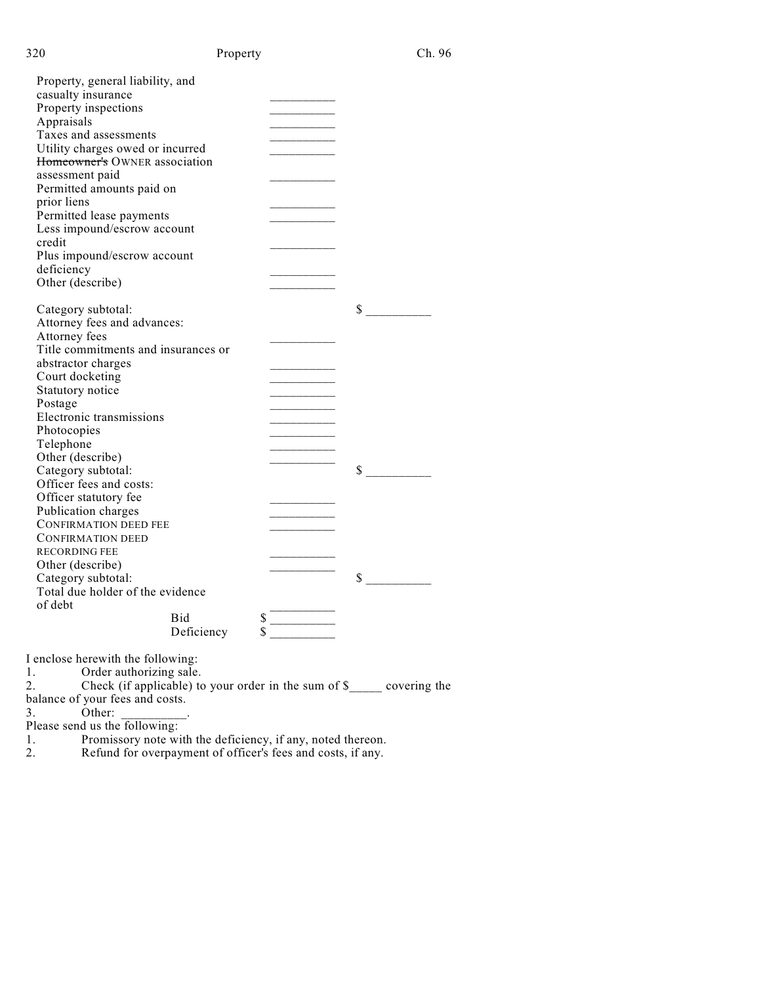| Property, general liability, and<br>casualty insurance<br>Property inspections<br>Appraisals<br>Taxes and assessments<br>Utility charges owed or incurred<br>Homeowner's OWNER association<br>assessment paid<br>Permitted amounts paid on |  |
|--------------------------------------------------------------------------------------------------------------------------------------------------------------------------------------------------------------------------------------------|--|
|                                                                                                                                                                                                                                            |  |
|                                                                                                                                                                                                                                            |  |
|                                                                                                                                                                                                                                            |  |
|                                                                                                                                                                                                                                            |  |
|                                                                                                                                                                                                                                            |  |
|                                                                                                                                                                                                                                            |  |
|                                                                                                                                                                                                                                            |  |
|                                                                                                                                                                                                                                            |  |
| prior liens                                                                                                                                                                                                                                |  |
| Permitted lease payments                                                                                                                                                                                                                   |  |
| Less impound/escrow account                                                                                                                                                                                                                |  |
| credit                                                                                                                                                                                                                                     |  |
| Plus impound/escrow account                                                                                                                                                                                                                |  |
| deficiency                                                                                                                                                                                                                                 |  |
| Other (describe)                                                                                                                                                                                                                           |  |
|                                                                                                                                                                                                                                            |  |
| S<br>Category subtotal:                                                                                                                                                                                                                    |  |
| Attorney fees and advances:                                                                                                                                                                                                                |  |
| Attorney fees                                                                                                                                                                                                                              |  |
| Title commitments and insurances or                                                                                                                                                                                                        |  |
| abstractor charges                                                                                                                                                                                                                         |  |
| Court docketing                                                                                                                                                                                                                            |  |
| Statutory notice                                                                                                                                                                                                                           |  |
| Postage                                                                                                                                                                                                                                    |  |
| Electronic transmissions                                                                                                                                                                                                                   |  |
| Photocopies                                                                                                                                                                                                                                |  |
| Telephone                                                                                                                                                                                                                                  |  |
| Other (describe)                                                                                                                                                                                                                           |  |
| Category subtotal:<br>\$                                                                                                                                                                                                                   |  |
| Officer fees and costs:                                                                                                                                                                                                                    |  |
| Officer statutory fee                                                                                                                                                                                                                      |  |
| Publication charges                                                                                                                                                                                                                        |  |
| <b>CONFIRMATION DEED FEE</b>                                                                                                                                                                                                               |  |
| <b>CONFIRMATION DEED</b>                                                                                                                                                                                                                   |  |
| <b>RECORDING FEE</b>                                                                                                                                                                                                                       |  |
| Other (describe)                                                                                                                                                                                                                           |  |
| \$<br>Category subtotal:                                                                                                                                                                                                                   |  |
| Total due holder of the evidence                                                                                                                                                                                                           |  |
| of debt                                                                                                                                                                                                                                    |  |
| \$<br><b>Bid</b>                                                                                                                                                                                                                           |  |
| Deficiency                                                                                                                                                                                                                                 |  |
|                                                                                                                                                                                                                                            |  |

I enclose herewith the following:

1. Order authorizing sale.

2. Check (if applicable) to your order in the sum of \$\_\_\_\_\_ covering the

balance of your fees and costs. 3. Other:

Please send us the following:<br>1. Promissory note wi

1. Promissory note with the deficiency, if any, noted thereon.

2. Refund for overpayment of officer's fees and costs, if any.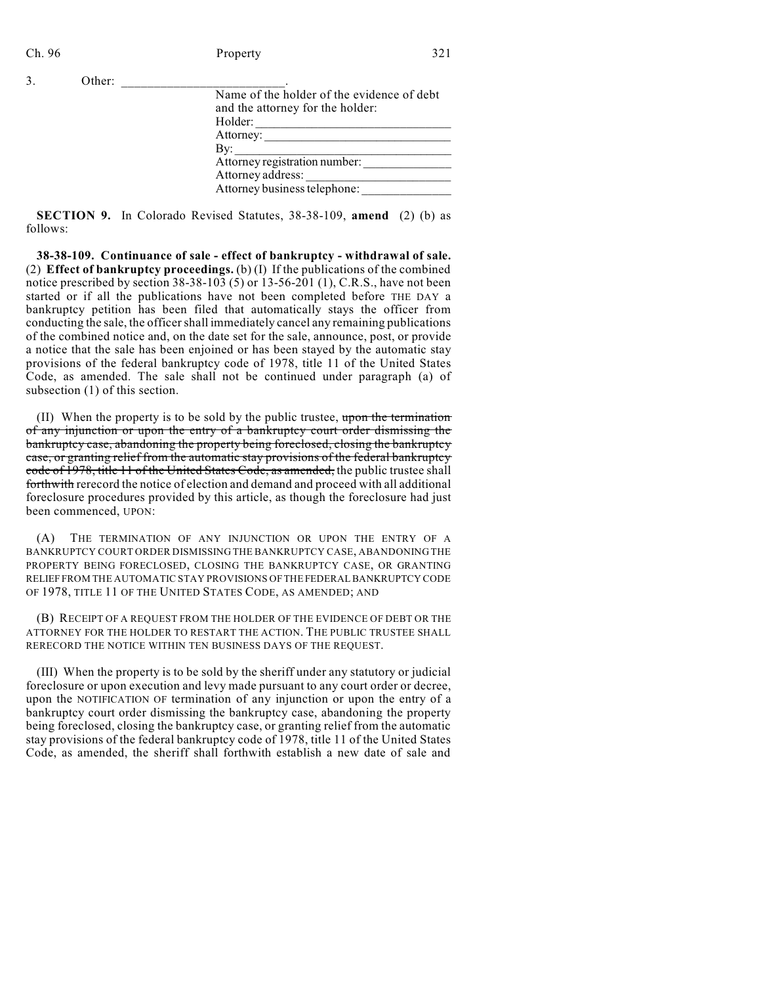3. Other:

| Name of the holder of the evidence of debt |
|--------------------------------------------|
| and the attorney for the holder:           |
| Holder:                                    |
| Attorney:                                  |
| By:                                        |
| Attorney registration number:              |
| Attorney address:                          |
| Attorney business telephone:               |
|                                            |

**SECTION 9.** In Colorado Revised Statutes, 38-38-109, **amend** (2) (b) as follows:

**38-38-109. Continuance of sale - effect of bankruptcy - withdrawal of sale.** (2) **Effect of bankruptcy proceedings.** (b) (I) If the publications of the combined notice prescribed by section  $38-38-103$  (5) or  $13-56-201$  (1), C.R.S., have not been started or if all the publications have not been completed before THE DAY a bankruptcy petition has been filed that automatically stays the officer from conducting the sale, the officer shall immediately cancel any remaining publications of the combined notice and, on the date set for the sale, announce, post, or provide a notice that the sale has been enjoined or has been stayed by the automatic stay provisions of the federal bankruptcy code of 1978, title 11 of the United States Code, as amended. The sale shall not be continued under paragraph (a) of subsection (1) of this section.

(II) When the property is to be sold by the public trustee, upon the termination of any injunction or upon the entry of a bankruptcy court order dismissing the bankruptcy case, abandoning the property being foreclosed, closing the bankruptcy case, or granting relief from the automatic stay provisions of the federal bankruptcy code of 1978, title 11 of the United States Code, as amended, the public trustee shall forthwith rerecord the notice of election and demand and proceed with all additional foreclosure procedures provided by this article, as though the foreclosure had just been commenced, UPON:

(A) THE TERMINATION OF ANY INJUNCTION OR UPON THE ENTRY OF A BANKRUPTCY COURT ORDER DISMISSING THE BANKRUPTCY CASE, ABANDONING THE PROPERTY BEING FORECLOSED, CLOSING THE BANKRUPTCY CASE, OR GRANTING RELIEF FROM THE AUTOMATIC STAY PROVISIONS OFTHE FEDERAL BANKRUPTCY CODE OF 1978, TITLE 11 OF THE UNITED STATES CODE, AS AMENDED; AND

(B) RECEIPT OF A REQUEST FROM THE HOLDER OF THE EVIDENCE OF DEBT OR THE ATTORNEY FOR THE HOLDER TO RESTART THE ACTION. THE PUBLIC TRUSTEE SHALL RERECORD THE NOTICE WITHIN TEN BUSINESS DAYS OF THE REQUEST.

(III) When the property is to be sold by the sheriff under any statutory or judicial foreclosure or upon execution and levy made pursuant to any court order or decree, upon the NOTIFICATION OF termination of any injunction or upon the entry of a bankruptcy court order dismissing the bankruptcy case, abandoning the property being foreclosed, closing the bankruptcy case, or granting relief from the automatic stay provisions of the federal bankruptcy code of 1978, title 11 of the United States Code, as amended, the sheriff shall forthwith establish a new date of sale and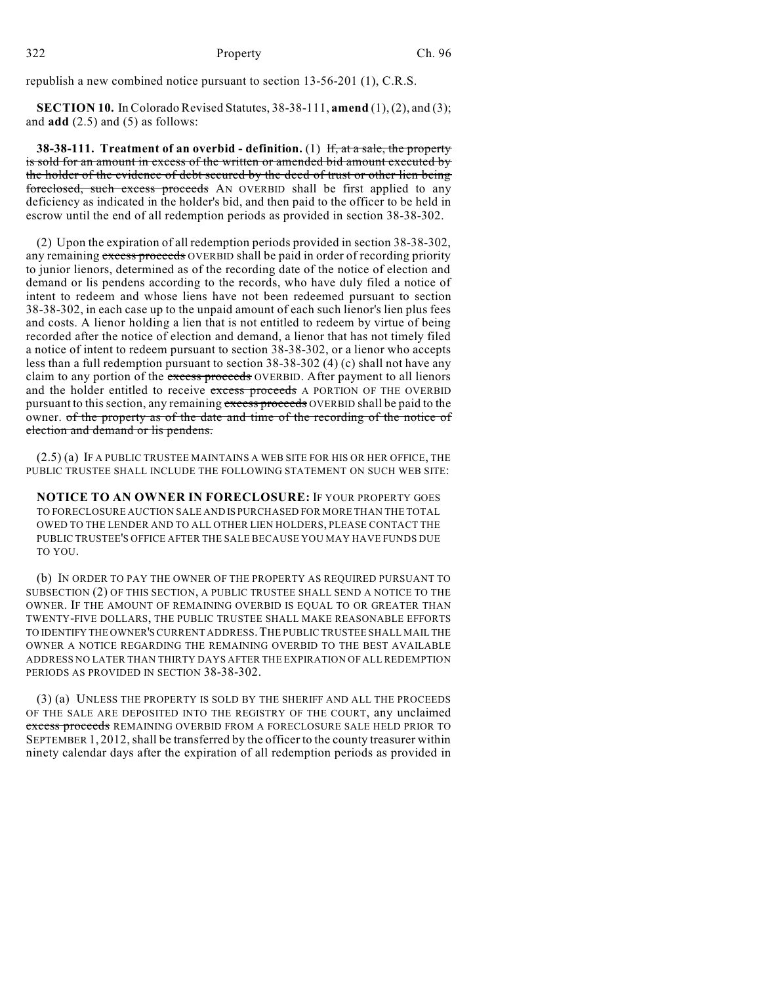republish a new combined notice pursuant to section 13-56-201 (1), C.R.S.

**SECTION 10.** In Colorado Revised Statutes, 38-38-111, **amend** (1), (2), and (3); and **add** (2.5) and (5) as follows:

**38-38-111. Treatment of an overbid - definition.** (1) If, at a sale, the property is sold for an amount in excess of the written or amended bid amount executed by the holder of the evidence of debt secured by the deed of trust or other lien being foreclosed, such excess proceeds AN OVERBID shall be first applied to any deficiency as indicated in the holder's bid, and then paid to the officer to be held in escrow until the end of all redemption periods as provided in section 38-38-302.

(2) Upon the expiration of all redemption periods provided in section 38-38-302, any remaining excess proceeds OVERBID shall be paid in order of recording priority to junior lienors, determined as of the recording date of the notice of election and demand or lis pendens according to the records, who have duly filed a notice of intent to redeem and whose liens have not been redeemed pursuant to section 38-38-302, in each case up to the unpaid amount of each such lienor's lien plus fees and costs. A lienor holding a lien that is not entitled to redeem by virtue of being recorded after the notice of election and demand, a lienor that has not timely filed a notice of intent to redeem pursuant to section 38-38-302, or a lienor who accepts less than a full redemption pursuant to section 38-38-302 (4) (c) shall not have any claim to any portion of the excess proceeds OVERBID. After payment to all lienors and the holder entitled to receive excess proceeds A PORTION OF THE OVERBID pursuant to this section, any remaining excess proceeds OVERBID shall be paid to the owner. of the property as of the date and time of the recording of the notice of election and demand or lis pendens.

(2.5) (a) IF A PUBLIC TRUSTEE MAINTAINS A WEB SITE FOR HIS OR HER OFFICE, THE PUBLIC TRUSTEE SHALL INCLUDE THE FOLLOWING STATEMENT ON SUCH WEB SITE:

**NOTICE TO AN OWNER IN FORECLOSURE:** IF YOUR PROPERTY GOES TO FORECLOSURE AUCTION SALE AND IS PURCHASED FOR MORE THAN THE TOTAL OWED TO THE LENDER AND TO ALL OTHER LIEN HOLDERS, PLEASE CONTACT THE PUBLIC TRUSTEE'S OFFICE AFTER THE SALE BECAUSE YOU MAY HAVE FUNDS DUE TO YOU.

(b) IN ORDER TO PAY THE OWNER OF THE PROPERTY AS REQUIRED PURSUANT TO SUBSECTION (2) OF THIS SECTION, A PUBLIC TRUSTEE SHALL SEND A NOTICE TO THE OWNER. IF THE AMOUNT OF REMAINING OVERBID IS EQUAL TO OR GREATER THAN TWENTY-FIVE DOLLARS, THE PUBLIC TRUSTEE SHALL MAKE REASONABLE EFFORTS TO IDENTIFY THE OWNER'SCURRENT ADDRESS.THE PUBLIC TRUSTEE SHALL MAIL THE OWNER A NOTICE REGARDING THE REMAINING OVERBID TO THE BEST AVAILABLE ADDRESS NO LATER THAN THIRTY DAYS AFTER THE EXPIRATION OF ALL REDEMPTION PERIODS AS PROVIDED IN SECTION 38-38-302.

(3) (a) UNLESS THE PROPERTY IS SOLD BY THE SHERIFF AND ALL THE PROCEEDS OF THE SALE ARE DEPOSITED INTO THE REGISTRY OF THE COURT, any unclaimed excess proceeds REMAINING OVERBID FROM A FORECLOSURE SALE HELD PRIOR TO SEPTEMBER 1, 2012, shall be transferred by the officer to the county treasurer within ninety calendar days after the expiration of all redemption periods as provided in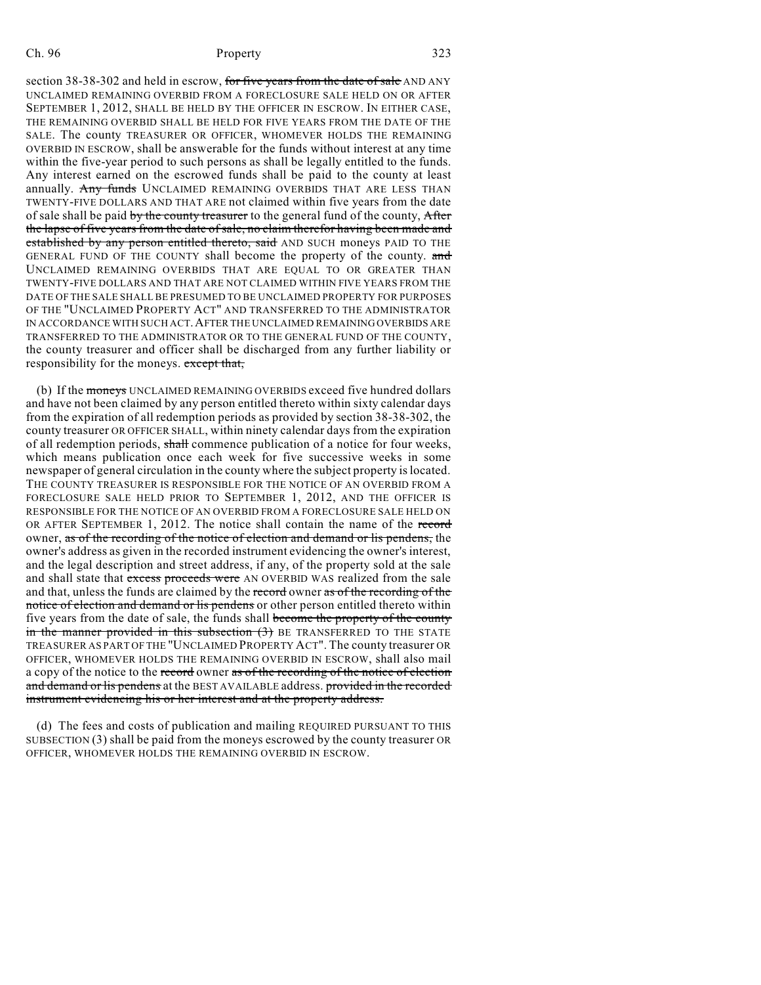#### Ch. 96 **Property** 323

section 38-38-302 and held in escrow, for five years from the date of sale AND ANY UNCLAIMED REMAINING OVERBID FROM A FORECLOSURE SALE HELD ON OR AFTER SEPTEMBER 1, 2012, SHALL BE HELD BY THE OFFICER IN ESCROW. IN EITHER CASE, THE REMAINING OVERBID SHALL BE HELD FOR FIVE YEARS FROM THE DATE OF THE SALE. The county TREASURER OR OFFICER, WHOMEVER HOLDS THE REMAINING OVERBID IN ESCROW, shall be answerable for the funds without interest at any time within the five-year period to such persons as shall be legally entitled to the funds. Any interest earned on the escrowed funds shall be paid to the county at least annually. Any funds UNCLAIMED REMAINING OVERBIDS THAT ARE LESS THAN TWENTY-FIVE DOLLARS AND THAT ARE not claimed within five years from the date of sale shall be paid by the county treasurer to the general fund of the county, After the lapse of five years from the date of sale, no claim therefor having been made and established by any person entitled thereto, said AND SUCH moneys PAID TO THE GENERAL FUND OF THE COUNTY shall become the property of the county. and UNCLAIMED REMAINING OVERBIDS THAT ARE EQUAL TO OR GREATER THAN TWENTY-FIVE DOLLARS AND THAT ARE NOT CLAIMED WITHIN FIVE YEARS FROM THE DATE OF THE SALE SHALL BE PRESUMED TO BE UNCLAIMED PROPERTY FOR PURPOSES OF THE "UNCLAIMED PROPERTY ACT" AND TRANSFERRED TO THE ADMINISTRATOR IN ACCORDANCE WITH SUCH ACT.AFTER THE UNCLAIMED REMAINING OVERBIDS ARE TRANSFERRED TO THE ADMINISTRATOR OR TO THE GENERAL FUND OF THE COUNTY, the county treasurer and officer shall be discharged from any further liability or responsibility for the moneys. except that,

(b) If the moneys UNCLAIMED REMAINING OVERBIDS exceed five hundred dollars and have not been claimed by any person entitled thereto within sixty calendar days from the expiration of all redemption periods as provided by section 38-38-302, the county treasurer OR OFFICER SHALL, within ninety calendar days from the expiration of all redemption periods, shall commence publication of a notice for four weeks, which means publication once each week for five successive weeks in some newspaper of general circulation in the county where the subject property islocated. THE COUNTY TREASURER IS RESPONSIBLE FOR THE NOTICE OF AN OVERBID FROM A FORECLOSURE SALE HELD PRIOR TO SEPTEMBER 1, 2012, AND THE OFFICER IS RESPONSIBLE FOR THE NOTICE OF AN OVERBID FROM A FORECLOSURE SALE HELD ON OR AFTER SEPTEMBER 1, 2012. The notice shall contain the name of the record owner, as of the recording of the notice of election and demand or lis pendens, the owner's address as given in the recorded instrument evidencing the owner's interest, and the legal description and street address, if any, of the property sold at the sale and shall state that excess proceeds were AN OVERBID WAS realized from the sale and that, unless the funds are claimed by the record owner as of the recording of the notice of election and demand or lis pendens or other person entitled thereto within five years from the date of sale, the funds shall become the property of the county in the manner provided in this subsection (3) BE TRANSFERRED TO THE STATE TREASURER AS PART OF THE "UNCLAIMED PROPERTY ACT". The county treasurer OR OFFICER, WHOMEVER HOLDS THE REMAINING OVERBID IN ESCROW, shall also mail a copy of the notice to the record owner as of the recording of the notice of election and demand or lis pendens at the BEST AVAILABLE address. provided in the recorded instrument evidencing his or her interest and at the property address.

(d) The fees and costs of publication and mailing REQUIRED PURSUANT TO THIS SUBSECTION (3) shall be paid from the moneys escrowed by the county treasurer OR OFFICER, WHOMEVER HOLDS THE REMAINING OVERBID IN ESCROW.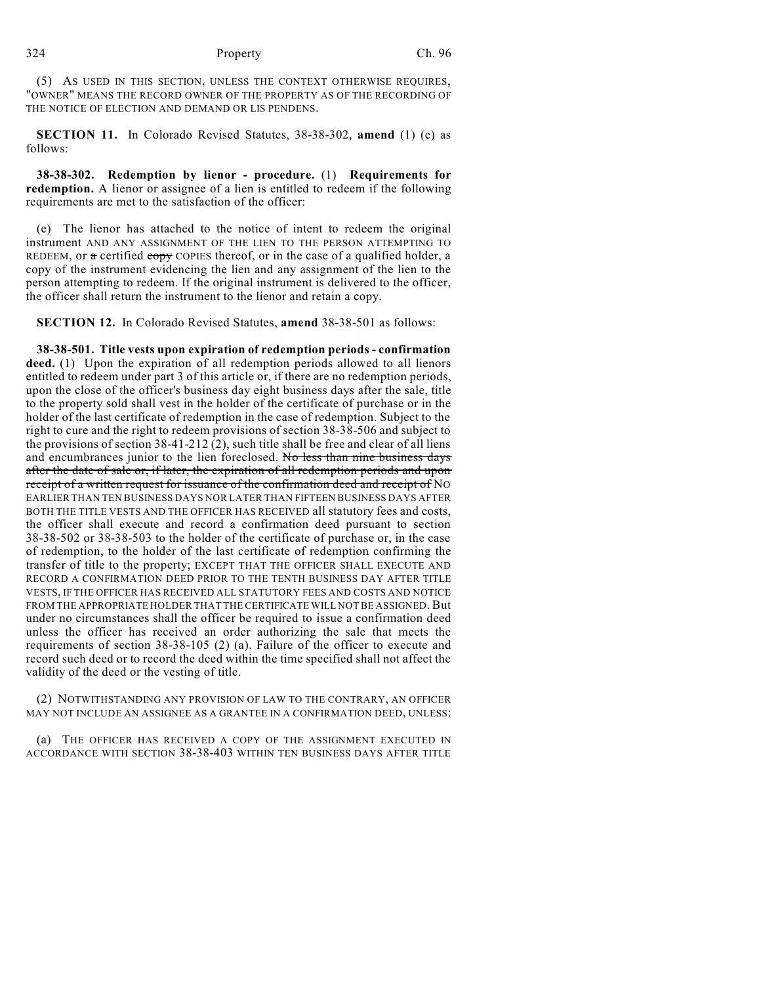(5) AS USED IN THIS SECTION, UNLESS THE CONTEXT OTHERWISE REQUIRES, "OWNER" MEANS THE RECORD OWNER OF THE PROPERTY AS OF THE RECORDING OF THE NOTICE OF ELECTION AND DEMAND OR LIS PENDENS.

**SECTION 11.** In Colorado Revised Statutes, 38-38-302, **amend** (1) (e) as follows:

**38-38-302. Redemption by lienor - procedure.** (1) **Requirements for redemption.** A lienor or assignee of a lien is entitled to redeem if the following requirements are met to the satisfaction of the officer:

(e) The lienor has attached to the notice of intent to redeem the original instrument AND ANY ASSIGNMENT OF THE LIEN TO THE PERSON ATTEMPTING TO REDEEM, or  $\alpha$  certified copy COPIES thereof, or in the case of a qualified holder, a copy of the instrument evidencing the lien and any assignment of the lien to the person attempting to redeem. If the original instrument is delivered to the officer, the officer shall return the instrument to the lienor and retain a copy.

**SECTION 12.** In Colorado Revised Statutes, **amend** 38-38-501 as follows:

**38-38-501. Title vests upon expiration of redemption periods - confirmation** deed. (1) Upon the expiration of all redemption periods allowed to all lienors entitled to redeem under part 3 of this article or, if there are no redemption periods, upon the close of the officer's business day eight business days after the sale, title to the property sold shall vest in the holder of the certificate of purchase or in the holder of the last certificate of redemption in the case of redemption. Subject to the right to cure and the right to redeem provisions of section 38-38-506 and subject to the provisions of section 38-41-212 (2), such title shall be free and clear of all liens and encumbrances junior to the lien foreclosed. No less than nine business days after the date of sale or, if later, the expiration of all redemption periods and upon receipt of a written request for issuance of the confirmation deed and receipt of NO EARLIER THAN TEN BUSINESS DAYS NOR LATER THAN FIFTEEN BUSINESS DAYS AFTER BOTH THE TITLE VESTS AND THE OFFICER HAS RECEIVED all statutory fees and costs, the officer shall execute and record a confirmation deed pursuant to section 38-38-502 or 38-38-503 to the holder of the certificate of purchase or, in the case of redemption, to the holder of the last certificate of redemption confirming the transfer of title to the property; EXCEPT THAT THE OFFICER SHALL EXECUTE AND RECORD A CONFIRMATION DEED PRIOR TO THE TENTH BUSINESS DAY AFTER TITLE VESTS, IF THE OFFICER HAS RECEIVED ALL STATUTORY FEES AND COSTS AND NOTICE FROM THE APPROPRIATE HOLDER THAT THE CERTIFICATE WILL NOT BE ASSIGNED. But under no circumstances shall the officer be required to issue a confirmation deed unless the officer has received an order authorizing the sale that meets the requirements of section 38-38-105 (2) (a). Failure of the officer to execute and record such deed or to record the deed within the time specified shall not affect the validity of the deed or the vesting of title.

(2) NOTWITHSTANDING ANY PROVISION OF LAW TO THE CONTRARY, AN OFFICER MAY NOT INCLUDE AN ASSIGNEE AS A GRANTEE IN A CONFIRMATION DEED, UNLESS:

(a) THE OFFICER HAS RECEIVED A COPY OF THE ASSIGNMENT EXECUTED IN ACCORDANCE WITH SECTION 38-38-403 WITHIN TEN BUSINESS DAYS AFTER TITLE